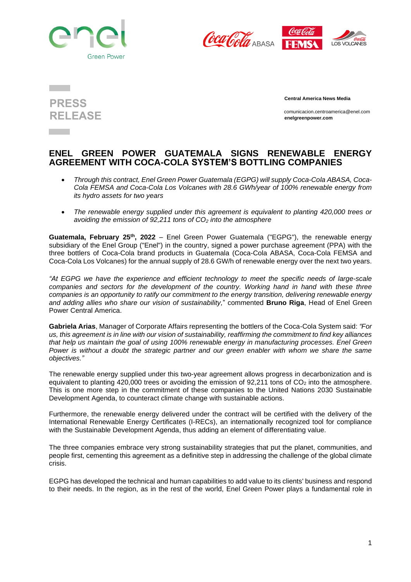





 **Central America News Media**

 comunicacion.centroamerica@enel.com **enelgreenpower.com**

## **ENEL GREEN POWER GUATEMALA SIGNS RENEWABLE ENERGY AGREEMENT WITH COCA-COLA SYSTEM'S BOTTLING COMPANIES**

- *Through this contract, Enel Green Power Guatemala (EGPG) will supply Coca-Cola ABASA, Coca-Cola FEMSA and Coca-Cola Los Volcanes with 28.6 GWh/year of 100% renewable energy from its hydro assets for two years*
- *The renewable energy supplied under this agreement is equivalent to planting 420,000 trees or avoiding the emission of 92,211 tons of CO<sup>2</sup> into the atmosphere*

**Guatemala, February 25th , 2022** – Enel Green Power Guatemala ("EGPG"), the renewable energy subsidiary of the Enel Group ("Enel") in the country, signed a power purchase agreement (PPA) with the three bottlers of Coca-Cola brand products in Guatemala (Coca-Cola ABASA, Coca-Cola FEMSA and Coca-Cola Los Volcanes) for the annual supply of 28.6 GW/h of renewable energy over the next two years.

*"At EGPG we have the experience and efficient technology to meet the specific needs of large-scale companies and sectors for the development of the country. Working hand in hand with these three companies is an opportunity to ratify our commitment to the energy transition, delivering renewable energy and adding allies who share our vision of sustainability,*" commented **Bruno Riga**, Head of Enel Green Power Central America.

**Gabriela Arias**, Manager of Corporate Affairs representing the bottlers of the Coca-Cola System said: *"For* us, this agreement is in line with our vision of sustainability, reaffirming the commitment to find key alliances *that help us maintain the goal of using 100% renewable energy in manufacturing processes. Enel Green Power is without a doubt the strategic partner and our green enabler with whom we share the same objectives."*

The renewable energy supplied under this two-year agreement allows progress in decarbonization and is equivalent to planting  $420,000$  trees or avoiding the emission of  $92,211$  tons of  $CO<sub>2</sub>$  into the atmosphere. This is one more step in the commitment of these companies to the United Nations 2030 Sustainable Development Agenda, to counteract climate change with sustainable actions.

Furthermore, the renewable energy delivered under the contract will be certified with the delivery of the International Renewable Energy Certificates (I-RECs), an internationally recognized tool for compliance with the Sustainable Development Agenda, thus adding an element of differentiating value.

The three companies embrace very strong sustainability strategies that put the planet, communities, and people first, cementing this agreement as a definitive step in addressing the challenge of the global climate crisis.

EGPG has developed the technical and human capabilities to add value to its clients' business and respond to their needs. In the region, as in the rest of the world, Enel Green Power plays a fundamental role in